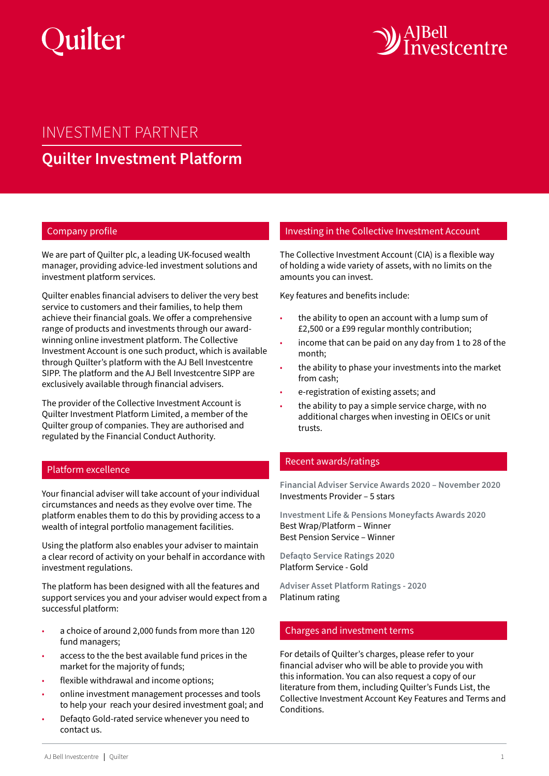



# INVESTMENT PARTNER **Quilter Investment Platform**

### Company profile

We are part of Quilter plc, a leading UK-focused wealth manager, providing advice-led investment solutions and investment platform services.

Quilter enables financial advisers to deliver the very best service to customers and their families, to help them achieve their financial goals. We offer a comprehensive range of products and investments through our awardwinning online investment platform. The Collective Investment Account is one such product, which is available through Quilter's platform with the AJ Bell Investcentre SIPP. The platform and the AJ Bell Investcentre SIPP are exclusively available through financial advisers.

The provider of the Collective Investment Account is Quilter Investment Platform Limited, a member of the Quilter group of companies. They are authorised and regulated by the Financial Conduct Authority.

#### Platform excellence

Your financial adviser will take account of your individual circumstances and needs as they evolve over time. The platform enables them to do this by providing access to a wealth of integral portfolio management facilities.

Using the platform also enables your adviser to maintain a clear record of activity on your behalf in accordance with investment regulations.

The platform has been designed with all the features and support services you and your adviser would expect from a successful platform:

- a choice of around 2,000 funds from more than 120 fund managers;
- access to the the best available fund prices in the market for the majority of funds;
- flexible withdrawal and income options;
- online investment management processes and tools to help your reach your desired investment goal; and
- Defaqto Gold-rated service whenever you need to contact us.

## Investing in the Collective Investment Account

The Collective Investment Account (CIA) is a flexible way of holding a wide variety of assets, with no limits on the amounts you can invest.

Key features and benefits include:

- the ability to open an account with a lump sum of £2,500 or a £99 regular monthly contribution;
- income that can be paid on any day from 1 to 28 of the month;
- the ability to phase your investments into the market from cash;
- e-registration of existing assets; and
- the ability to pay a simple service charge, with no additional charges when investing in OEICs or unit trusts.

# Recent awards/ratings

**Financial Adviser Service Awards 2020 – November 2020** Investments Provider – 5 stars

**Investment Life & Pensions Moneyfacts Awards 2020** Best Wrap/Platform – Winner Best Pension Service – Winner

**Defaqto Service Ratings 2020** Platform Service - Gold

**Adviser Asset Platform Ratings - 2020** Platinum rating

#### Charges and investment terms

For details of Quilter's charges, please refer to your financial adviser who will be able to provide you with this information. You can also request a copy of our literature from them, including Quilter's Funds List, the Collective Investment Account Key Features and Terms and Conditions.